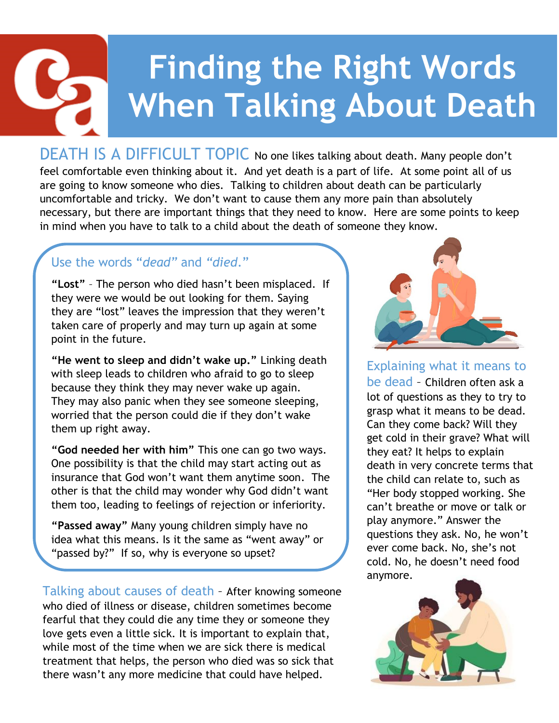## **Finding the Right Words When Talking About Death**

DEATH IS A DIFFICULT TOPIC No one likes talking about death. Many people don't feel comfortable even thinking about it. And yet death is a part of life. At some point all of us are going to know someone who dies. Talking to children about death can be particularly uncomfortable and tricky. We don't want to cause them any more pain than absolutely necessary, but there are important things that they need to know. Here are some points to keep in mind when you have to talk to a child about the death of someone they know.

## Use the words "*dead"* and *"died*."

**"Lost"** – The person who died hasn't been misplaced. If they were we would be out looking for them. Saying they are "lost" leaves the impression that they weren't taken care of properly and may turn up again at some point in the future.

**"He went to sleep and didn't wake up."** Linking death with sleep leads to children who afraid to go to sleep because they think they may never wake up again. They may also panic when they see someone sleeping, worried that the person could die if they don't wake them up right away.

**"God needed her with him"** This one can go two ways. One possibility is that the child may start acting out as insurance that God won't want them anytime soon. The other is that the child may wonder why God didn't want them too, leading to feelings of rejection or inferiority.

**"Passed away"** Many young children simply have no idea what this means. Is it the same as "went away" or "passed by?" If so, why is everyone so upset?

Talking about causes of death – After knowing someone who died of illness or disease, children sometimes become fearful that they could die any time they or someone they love gets even a little sick. It is important to explain that, while most of the time when we are sick there is medical treatment that helps, the person who died was so sick that there wasn't any more medicine that could have helped.



Explaining what it means to be dead – Children often ask a lot of questions as they to try to grasp what it means to be dead. Can they come back? Will they get cold in their grave? What will they eat? It helps to explain death in very concrete terms that the child can relate to, such as "Her body stopped working. She can't breathe or move or talk or play anymore." Answer the questions they ask. No, he won't ever come back. No, she's not cold. No, he doesn't need food anymore.